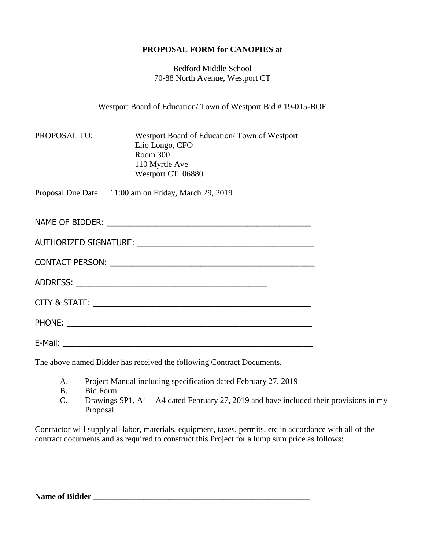## **PROPOSAL FORM for CANOPIES at**

Bedford Middle School 70-88 North Avenue, Westport CT

Westport Board of Education/ Town of Westport Bid # 19-015-BOE

PROPOSAL TO: Westport Board of Education/ Town of Westport Elio Longo, CFO Room 300 110 Myrtle Ave Westport CT 06880

Proposal Due Date: 11:00 am on Friday, March 29, 2019

NAME OF BIDDER: \_\_\_\_\_\_\_\_\_\_\_\_\_\_\_\_\_\_\_\_\_\_\_\_\_\_\_\_\_\_\_\_\_\_\_\_\_\_\_\_\_\_\_\_\_ AUTHORIZED SIGNATURE: \_\_\_\_\_\_\_\_\_\_\_\_\_\_\_\_\_\_\_\_\_\_\_\_\_\_\_\_\_\_\_\_\_\_\_\_\_\_\_

| <b>CONTACT PERSON:</b> |  |
|------------------------|--|
|------------------------|--|

ADDRESS: \_\_\_\_\_\_\_\_\_\_\_\_\_\_\_\_\_\_\_\_\_\_\_\_\_\_\_\_\_\_\_\_\_\_\_\_\_\_\_\_\_\_

CITY & STATE: \_\_\_\_\_\_\_\_\_\_\_\_\_\_\_\_\_\_\_\_\_\_\_\_\_\_\_\_\_\_\_\_\_\_\_\_\_\_\_\_\_\_\_\_\_\_\_\_

PHONE: \_\_\_\_\_\_\_\_\_\_\_\_\_\_\_\_\_\_\_\_\_\_\_\_\_\_\_\_\_\_\_\_\_\_\_\_\_\_\_\_\_\_\_\_\_\_\_\_\_\_\_\_\_\_

E-Mail:  $\blacksquare$ 

The above named Bidder has received the following Contract Documents,

- A. Project Manual including specification dated February 27, 2019
- B. Bid Form
- C. Drawings SP1, A1 A4 dated February 27, 2019 and have included their provisions in my Proposal.

Contractor will supply all labor, materials, equipment, taxes, permits, etc in accordance with all of the contract documents and as required to construct this Project for a lump sum price as follows: